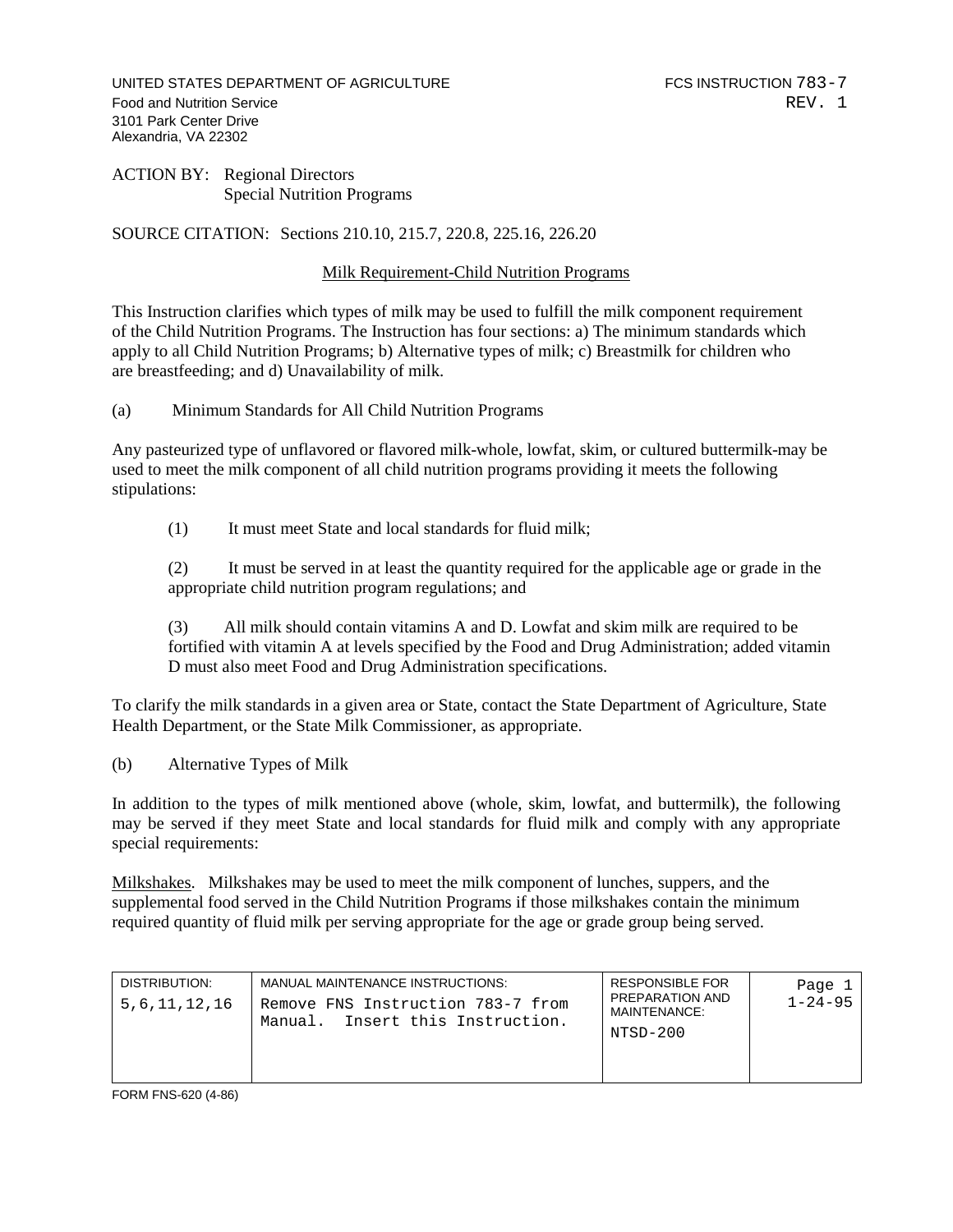UNITED STATES DEPARTMENT OF AGRICULTURE FOR THE RESERVE FOR INSTRUCTION 783-7 Food and Nutrition Service **REV.** 1 3101 Park Center Drive Alexandria, VA 22302

ACTION BY: Regional Directors Special Nutrition Programs

SOURCE CITATION: Sections 210.10, 215.7, 220.8, 225.16, 226.20

## Milk Requirement-Child Nutrition Programs

This Instruction clarifies which types of milk may be used to fulfill the milk component requirement of the Child Nutrition Programs. The Instruction has four sections: a) The minimum standards which apply to all Child Nutrition Programs; b) Alternative types of milk; c) Breastmilk for children who are breastfeeding; and d) Unavailability of milk.

(a) Minimum Standards for All Child Nutrition Programs

Any pasteurized type of unflavored or flavored milk-whole, lowfat, skim, or cultured buttermilk-may be used to meet the milk component of all child nutrition programs providing it meets the following stipulations:

(1) It must meet State and local standards for fluid milk;

(2) It must be served in at least the quantity required for the applicable age or grade in the appropriate child nutrition program regulations; and

(3) All milk should contain vitamins A and D. Lowfat and skim milk are required to be fortified with vitamin A at levels specified by the Food and Drug Administration; added vitamin D must also meet Food and Drug Administration specifications.

To clarify the milk standards in a given area or State, contact the State Department of Agriculture, State Health Department, or the State Milk Commissioner, as appropriate.

(b) Alternative Types of Milk

In addition to the types of milk mentioned above (whole, skim, lowfat, and buttermilk), the following may be served if they meet State and local standards for fluid milk and comply with any appropriate special requirements:

Milkshakes. Milkshakes may be used to meet the milk component of lunches, suppers, and the supplemental food served in the Child Nutrition Programs if those milkshakes contain the minimum required quantity of fluid milk per serving appropriate for the age or grade group being served.

| DISTRIBUTION:<br>5,6,11,12,16 | MANUAL MAINTENANCE INSTRUCTIONS:<br>Remove FNS Instruction 783-7 from<br>Manual. Insert this Instruction. | <b>RESPONSIBLE FOR</b><br>PREPARATION AND<br>MAINTENANCE:<br>NTSD-200 | Page 1<br>$1 - 24 - 95$ |
|-------------------------------|-----------------------------------------------------------------------------------------------------------|-----------------------------------------------------------------------|-------------------------|
|-------------------------------|-----------------------------------------------------------------------------------------------------------|-----------------------------------------------------------------------|-------------------------|

FORM FNS-620 (4-86)